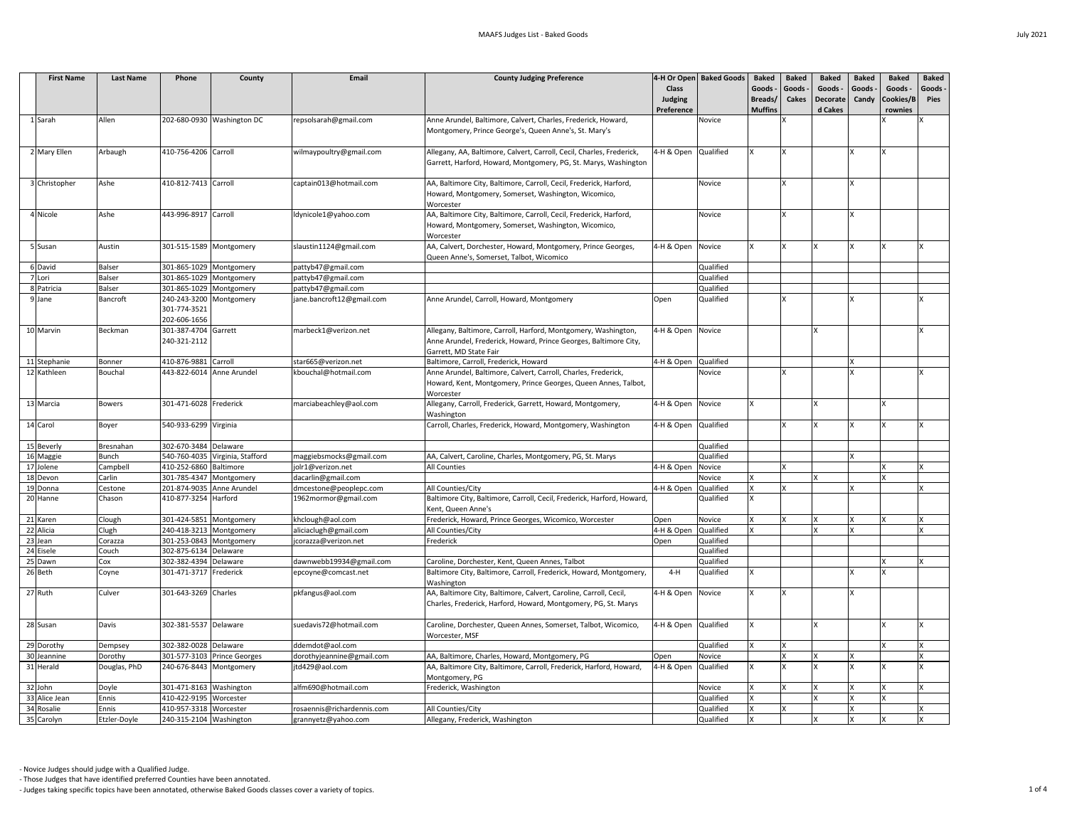| <b>First Name</b> | <b>Last Name</b> | Phone                     | County                          | Email                      | <b>County Judging Preference</b>                                       |                   | 4-H Or Open   Baked Goods | <b>Baked</b>   | <b>Baked</b> | <b>Baked</b>    | <b>Baked</b> | <b>Baked</b> | <b>Baked</b> |
|-------------------|------------------|---------------------------|---------------------------------|----------------------------|------------------------------------------------------------------------|-------------------|---------------------------|----------------|--------------|-----------------|--------------|--------------|--------------|
|                   |                  |                           |                                 |                            |                                                                        | <b>Class</b>      |                           | Goods -        | Goods        | Goods -         | Goods -      | Goods -      | Goods -      |
|                   |                  |                           |                                 |                            |                                                                        | <b>Judging</b>    |                           | Breads/        | <b>Cakes</b> | <b>Decorate</b> | Candy        | Cookies/B    | <b>Pies</b>  |
|                   |                  |                           |                                 |                            |                                                                        | Preference        |                           | <b>Muffins</b> |              | d Cakes         |              | rownies      |              |
| Sarah             | Allen            |                           | 202-680-0930 Washington DC      | repsolsarah@gmail.com      | Anne Arundel, Baltimore, Calvert, Charles, Frederick, Howard,          |                   | Novice                    |                |              |                 |              |              |              |
|                   |                  |                           |                                 |                            | Montgomery, Prince George's, Queen Anne's, St. Mary's                  |                   |                           |                |              |                 |              |              |              |
|                   |                  |                           |                                 |                            |                                                                        |                   |                           |                |              |                 |              |              |              |
| 2 Mary Ellen      | Arbaugh          | 410-756-4206 Carroll      |                                 | wilmaypoultry@gmail.com    | Allegany, AA, Baltimore, Calvert, Carroll, Cecil, Charles, Frederick,  | 4-H & Open        | Qualified                 |                |              |                 |              |              |              |
|                   |                  |                           |                                 |                            | Garrett, Harford, Howard, Montgomery, PG, St. Marys, Washington        |                   |                           |                |              |                 |              |              |              |
|                   |                  |                           |                                 |                            |                                                                        |                   |                           |                |              |                 |              |              |              |
| 3 Christopher     | Ashe             | 410-812-7413 Carroll      |                                 | captain013@hotmail.com     | AA, Baltimore City, Baltimore, Carroll, Cecil, Frederick, Harford,     |                   | Novice                    |                | Y            |                 |              |              |              |
|                   |                  |                           |                                 |                            | Howard, Montgomery, Somerset, Washington, Wicomico,                    |                   |                           |                |              |                 |              |              |              |
|                   |                  |                           |                                 |                            | Worcester                                                              |                   |                           |                |              |                 |              |              |              |
| 4 Nicole          | Ashe             | 443-996-8917 Carroll      |                                 | Idynicole1@yahoo.com       | AA, Baltimore City, Baltimore, Carroll, Cecil, Frederick, Harford,     |                   | Novice                    |                |              |                 |              |              |              |
|                   |                  |                           |                                 |                            | Howard, Montgomery, Somerset, Washington, Wicomico,                    |                   |                           |                |              |                 |              |              |              |
|                   |                  |                           |                                 |                            | Worcester                                                              |                   |                           |                |              |                 |              |              |              |
| 5 Susan           | Austin           | 301-515-1589 Montgomery   |                                 | slaustin1124@gmail.com     | AA, Calvert, Dorchester, Howard, Montgomery, Prince Georges,           | 4-H & Open        | Novice                    |                |              |                 |              |              |              |
|                   |                  |                           |                                 |                            | Queen Anne's, Somerset, Talbot, Wicomico                               |                   |                           |                |              |                 |              |              |              |
| 6 David           | <b>Balser</b>    | 301-865-1029 Montgomery   |                                 | pattyb47@gmail.com         |                                                                        |                   | Qualified                 |                |              |                 |              |              |              |
| 7 Lori            | <b>Balser</b>    | 301-865-1029 Montgomery   |                                 | pattyb47@gmail.com         |                                                                        |                   | Qualified                 |                |              |                 |              |              |              |
| 8 Patricia        | <b>Balser</b>    | 301-865-1029 Montgomery   |                                 | pattyb47@gmail.com         |                                                                        |                   | Qualified                 |                |              |                 |              |              |              |
| 9 Jane            | Bancroft         | 240-243-3200 Montgomery   |                                 | jane.bancroft12@gmail.com  | Anne Arundel, Carroll, Howard, Montgomery                              | Open              | Qualified                 |                |              |                 |              |              |              |
|                   |                  | 301-774-3521              |                                 |                            |                                                                        |                   |                           |                |              |                 |              |              |              |
|                   |                  | 202-606-1656              |                                 |                            |                                                                        |                   |                           |                |              |                 |              |              |              |
| 10 Marvin         | Beckman          | 301-387-4704 Garrett      |                                 | marbeck1@verizon.net       | Allegany, Baltimore, Carroll, Harford, Montgomery, Washington,         | 4-H & Open        | Novice                    |                |              |                 |              |              |              |
|                   |                  | 240-321-2112              |                                 |                            | Anne Arundel, Frederick, Howard, Prince Georges, Baltimore City,       |                   |                           |                |              |                 |              |              |              |
|                   |                  |                           |                                 |                            | Garrett, MD State Fair                                                 |                   |                           |                |              |                 |              |              |              |
| 11 Stephanie      | <b>Bonner</b>    | 410-876-9881 Carroll      |                                 | star665@verizon.net        | Baltimore, Carroll, Frederick, Howard                                  | 4-H & Open        | Qualified                 |                |              |                 |              |              |              |
| 12 Kathleen       | Bouchal          | 443-822-6014 Anne Arundel |                                 | kbouchal@hotmail.com       | Anne Arundel, Baltimore, Calvert, Carroll, Charles, Frederick,         |                   | Novice                    |                |              |                 |              |              |              |
|                   |                  |                           |                                 |                            | Howard, Kent, Montgomery, Prince Georges, Queen Annes, Talbot,         |                   |                           |                |              |                 |              |              |              |
|                   |                  |                           |                                 |                            | Worcester                                                              |                   |                           |                |              |                 |              |              |              |
| 13 Marcia         | <b>Bowers</b>    | 301-471-6028 Frederick    |                                 | marciabeachley@aol.com     | Allegany, Carroll, Frederick, Garrett, Howard, Montgomery,             | 4-H & Open Novice |                           |                |              | Iv.             |              |              |              |
|                   |                  |                           |                                 |                            | Washington                                                             |                   |                           |                |              |                 |              |              |              |
| 14 Carol          | Boyer            | 540-933-6299 Virginia     |                                 |                            | Carroll, Charles, Frederick, Howard, Montgomery, Washington            | 4-H & Open        | Qualified                 |                |              |                 |              |              |              |
|                   |                  |                           |                                 |                            |                                                                        |                   |                           |                |              |                 |              |              |              |
| 15 Beverly        | Bresnahan        | 302-670-3484 Delaware     |                                 |                            |                                                                        |                   | Qualified                 |                |              |                 |              |              |              |
| 16 Maggie         | <b>Bunch</b>     |                           | 540-760-4035 Virginia, Stafford | maggiebsmocks@gmail.com    | AA, Calvert, Caroline, Charles, Montgomery, PG, St. Marys              |                   | Qualified                 |                |              |                 |              |              |              |
| 17 Jolene         | Campbell         | 410-252-6860 Baltimore    |                                 | jolr1@verizon.net          | All Counties                                                           | 4-H & Open        | Novice                    |                |              |                 |              |              |              |
| 18 Devon          | Carlin           | 301-785-4347 Montgomery   |                                 | dacarlin@gmail.com         |                                                                        |                   | Novice                    |                |              |                 |              |              |              |
| 19 Donna          | Cestone          |                           | 201-874-9035 Anne Arundel       | dmcestone@peoplepc.com     | All Counties/City                                                      | 4-H & Open        | Qualified                 |                |              |                 |              |              |              |
| 20 Hanne          | Chason           | 410-877-3254 Harford      |                                 | 1962mormor@gmail.com       | Baltimore City, Baltimore, Carroll, Cecil, Frederick, Harford, Howard, |                   | Qualified                 |                |              |                 |              |              |              |
|                   |                  |                           |                                 |                            | Kent, Queen Anne's                                                     |                   |                           |                |              |                 |              |              |              |
| 21 Karen          | Clough           | 301-424-5851 Montgomery   |                                 | khclough@aol.com           | Frederick, Howard, Prince Georges, Wicomico, Worcester                 | Open              | Novice                    |                |              |                 |              |              |              |
| 22 Alicia         | Clugh            | 240-418-3213 Montgomery   |                                 | aliciaclugh@gmail.com      | All Counties/City                                                      | 4-H & Open        | Qualified                 |                |              |                 |              |              |              |
| $23$ Jean         | Corazza          | 301-253-0843 Montgomery   |                                 | jcorazza@verizon.net       | Frederick                                                              | Open              | Qualified                 |                |              |                 |              |              |              |
| 24 Eisele         | Couch            | 302-875-6134 Delaware     |                                 |                            |                                                                        |                   | Qualified                 |                |              |                 |              |              |              |
| 25 Dawn           | Cox              | 302-382-4394 Delaware     |                                 | dawnwebb19934@gmail.com    | Caroline, Dorchester, Kent, Queen Annes, Talbot                        |                   | Qualified                 |                |              |                 |              |              |              |
| 26 Beth           | Coyne            | 301-471-3717 Frederick    |                                 | epcoyne@comcast.net        | Baltimore City, Baltimore, Carroll, Frederick, Howard, Montgomery,     | $4-H$             | Qualified                 |                |              |                 |              |              |              |
|                   |                  |                           |                                 |                            | Washington                                                             |                   |                           |                |              |                 |              |              |              |
| $27$ Ruth         | Culver           | 301-643-3269 Charles      |                                 | pkfangus@aol.com           | AA, Baltimore City, Baltimore, Calvert, Caroline, Carroll, Cecil,      | 4-H & Open        | Novice                    |                |              |                 |              |              |              |
|                   |                  |                           |                                 |                            | Charles, Frederick, Harford, Howard, Montgomery, PG, St. Marys         |                   |                           |                |              |                 |              |              |              |
|                   |                  |                           |                                 |                            |                                                                        |                   |                           |                |              |                 |              |              |              |
| 28 Susan          | Davis            | 302-381-5537 Delaware     |                                 | suedavis72@hotmail.com     | Caroline, Dorchester, Queen Annes, Somerset, Talbot, Wicomico,         | 4-H & Open        | Qualified                 |                |              |                 |              |              |              |
|                   |                  |                           |                                 |                            | Worcester, MSF                                                         |                   |                           |                |              |                 |              |              |              |
| 29 Dorothy        | Dempsey          | 302-382-0028 Delaware     |                                 | ddemdot@aol.com            |                                                                        |                   | Qualified                 |                |              |                 |              |              |              |
| 30 Jeannine       | Dorothy          |                           | 301-577-3103 Prince Georges     | dorothyjeannine@gmail.com  | AA, Baltimore, Charles, Howard, Montgomery, PG                         | Open              | Novice                    |                |              |                 |              |              |              |
| 31 Herald         | Douglas, PhD     | 240-676-8443 Montgomery   |                                 | jtd429@aol.com             | AA, Baltimore City, Baltimore, Carroll, Frederick, Harford, Howard,    | 4-H & Open        | Qualified                 |                |              |                 |              |              |              |
|                   |                  |                           |                                 |                            | Montgomery, PG                                                         |                   |                           |                |              |                 |              |              |              |
| 32 John           | Doyle            | 301-471-8163 Washington   |                                 | alfm690@hotmail.com        | Frederick, Washington                                                  |                   | Novice                    |                | Y            |                 |              |              |              |
| 33 Alice Jean     | Ennis            | 410-422-9195 Worcester    |                                 |                            |                                                                        |                   | Qualified                 |                |              |                 |              |              |              |
| 34 Rosalie        | Ennis            | 410-957-3318 Worcester    |                                 | rosaennis@richardennis.com | All Counties/City                                                      |                   | Qualified                 |                |              |                 |              |              |              |
| 35 Carolyn        | Etzler-Doyle     | 240-315-2104 Washington   |                                 | grannyetz@yahoo.com        | Allegany, Frederick, Washington                                        |                   | Qualified                 |                |              |                 |              |              | lx.          |

- Those Judges that have identified preferred Counties have been annotated.

- Judges taking specific topics have been annotated, otherwise Baked Goods classes cover a variety of topics. 1 of 4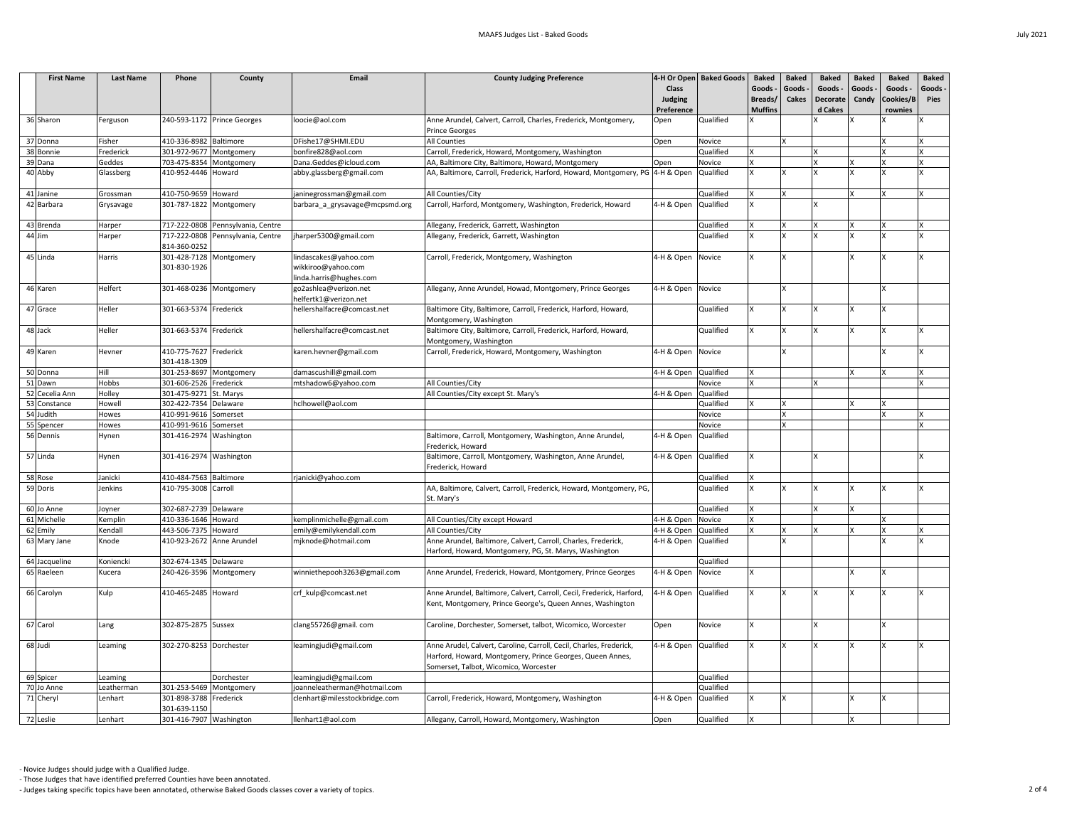| <b>First Name</b> | <b>Last Name</b> | Phone                                   | County                            | <b>Email</b>                                | <b>County Judging Preference</b>                                                                                                                                          |                      | 4-H Or Open Baked Goods | <b>Baked</b>   | <b>Baked</b> | <b>Baked</b>    | <b>Baked</b> | <b>Baked</b> | <b>Baked</b> |
|-------------------|------------------|-----------------------------------------|-----------------------------------|---------------------------------------------|---------------------------------------------------------------------------------------------------------------------------------------------------------------------------|----------------------|-------------------------|----------------|--------------|-----------------|--------------|--------------|--------------|
|                   |                  |                                         |                                   |                                             |                                                                                                                                                                           | <b>Class</b>         |                         | Goods -        | Goods -      | Goods -         | Goods -      | Goods -      | Goods -      |
|                   |                  |                                         |                                   |                                             |                                                                                                                                                                           | <b>Judging</b>       |                         | Breads/        | <b>Cakes</b> | <b>Decorate</b> | Candy        | Cookies/B    | <b>Pies</b>  |
|                   |                  |                                         |                                   |                                             |                                                                                                                                                                           | Preference           |                         | <b>Muffins</b> |              | d Cakes         |              | rownies      |              |
| 36 Sharon         | Ferguson         |                                         | 240-593-1172 Prince Georges       | loocie@aol.com                              | Anne Arundel, Calvert, Carroll, Charles, Frederick, Montgomery,<br>Prince Georges                                                                                         | Open                 | Qualified               |                |              |                 |              |              |              |
| 37 Donna          | Fisher           | 410-336-8982 Baltimore                  |                                   | DFishe17@SHMI.EDU                           | All Counties                                                                                                                                                              | Open                 | Novice                  |                |              |                 |              |              |              |
| 38 Bonnie         | Frederick        | 301-972-9677 Montgomery                 |                                   | bonfire828@aol.com                          | Carroll, Frederick, Howard, Montgomery, Washington                                                                                                                        |                      | Qualified               |                |              |                 |              |              |              |
| 39 Dana           | Geddes           | 703-475-8354 Montgomery                 |                                   | Dana.Geddes@icloud.com                      | AA, Baltimore City, Baltimore, Howard, Montgomery                                                                                                                         | Open                 | Novice                  |                |              |                 |              |              |              |
| 40 Abby           | Glassberg        | 410-952-4446 Howard                     |                                   | abby.glassberg@gmail.com                    | AA, Baltimore, Carroll, Frederick, Harford, Howard, Montgomery, PG   4-H & Open                                                                                           |                      | Qualified               |                |              |                 |              |              |              |
|                   |                  |                                         |                                   |                                             |                                                                                                                                                                           |                      |                         |                |              |                 |              |              |              |
| 41 Janine         | Grossman         | 410-750-9659 Howard                     |                                   | janinegrossman@gmail.com                    | All Counties/City                                                                                                                                                         |                      | Qualified               |                |              |                 | $\mathbf{x}$ |              |              |
| 42 Barbara        | Grysavage        | 301-787-1822 Montgomery                 |                                   | barbara_a_grysavage@mcpsmd.org              | Carroll, Harford, Montgomery, Washington, Frederick, Howard                                                                                                               | 4-H & Open           | Qualified               |                |              |                 |              |              |              |
| 43 Brenda         | Harper           |                                         | 717-222-0808 Pennsylvania, Centre |                                             | Allegany, Frederick, Garrett, Washington                                                                                                                                  |                      | Qualified               |                |              |                 | $\mathbf{x}$ |              |              |
| $44$ Jim          | Harper           |                                         | 717-222-0808 Pennsylvania, Centre | jharper5300@gmail.com                       | Allegany, Frederick, Garrett, Washington                                                                                                                                  |                      | Qualified               |                |              |                 |              |              |              |
|                   |                  | 814-360-0252                            |                                   |                                             |                                                                                                                                                                           |                      |                         |                |              |                 |              |              |              |
| 45 Linda          | Harris           | 301-428-7128 Montgomery<br>301-830-1926 |                                   | lindascakes@yahoo.com<br>wikkiroo@yahoo.com | Carroll, Frederick, Montgomery, Washington                                                                                                                                | 4-H & Open Novice    |                         |                |              |                 |              |              |              |
|                   |                  |                                         |                                   | linda.harris@hughes.com                     |                                                                                                                                                                           |                      |                         |                |              |                 |              |              |              |
| 46 Karen          | Helfert          | 301-468-0236   Montgomery               |                                   | go2ashlea@verizon.net                       | Allegany, Anne Arundel, Howad, Montgomery, Prince Georges                                                                                                                 | 4-H & Open Novice    |                         |                |              |                 |              |              |              |
|                   |                  |                                         |                                   | helfertk1@verizon.net                       |                                                                                                                                                                           |                      |                         |                |              |                 |              |              |              |
| 47 Grace          | Heller           | 301-663-5374 Frederick                  |                                   | hellershalfacre@comcast.net                 | Baltimore City, Baltimore, Carroll, Frederick, Harford, Howard,<br>Montgomery, Washington                                                                                 |                      | Qualified               |                |              |                 | X            |              |              |
| 48 Jack           | Heller           | 301-663-5374 Frederick                  |                                   |                                             |                                                                                                                                                                           |                      | Qualified               |                |              |                 |              |              |              |
|                   |                  |                                         |                                   | hellershalfacre@comcast.net                 | Baltimore City, Baltimore, Carroll, Frederick, Harford, Howard,<br>Montgomery, Washington                                                                                 |                      |                         |                |              |                 |              |              |              |
| 49 Karen          | Hevner           | 410-775-7627 Frederick<br>301-418-1309  |                                   | karen.hevner@gmail.com                      | Carroll, Frederick, Howard, Montgomery, Washington                                                                                                                        | 4-H & Open Novice    |                         |                |              |                 |              |              |              |
| 50 Donna          | Hill             | 301-253-8697 Montgomery                 |                                   | damascushill@gmail.com                      |                                                                                                                                                                           | 4-H & Open           | Qualified               |                |              |                 |              |              |              |
| 51 Dawn           | Hobbs            | 301-606-2526 Frederick                  |                                   | mtshadow6@yahoo.com                         | All Counties/City                                                                                                                                                         |                      | Novice                  |                |              |                 |              |              |              |
| 52 Cecelia Ann    | Holley           | 301-475-9271 St. Marys                  |                                   |                                             | All Counties/City except St. Mary's                                                                                                                                       | 4-H & Open           | Qualified               |                |              |                 |              |              |              |
| 53 Constance      | Howell           | 302-422-7354 Delaware                   |                                   | hclhowell@aol.com                           |                                                                                                                                                                           |                      | Qualified               |                |              |                 |              |              |              |
| 54 Judith         | Howes            | 410-991-9616 Somerset                   |                                   |                                             |                                                                                                                                                                           |                      | Novice                  |                |              |                 |              |              |              |
| 55 Spencer        | Howes            | 410-991-9616 Somerset                   |                                   |                                             |                                                                                                                                                                           |                      | Novice                  |                |              |                 |              |              |              |
| 56 Dennis         | Hynen            | 301-416-2974 Washington                 |                                   |                                             | Baltimore, Carroll, Montgomery, Washington, Anne Arundel,<br>Frederick, Howard                                                                                            | 4-H & Open Qualified |                         |                |              |                 |              |              |              |
| 57 Linda          | Hynen            | 301-416-2974 Washington                 |                                   |                                             | Baltimore, Carroll, Montgomery, Washington, Anne Arundel,<br>Frederick, Howard                                                                                            | 4-H & Open Qualified |                         |                |              |                 |              |              |              |
| 58 Rose           | Janicki          | 410-484-7563 Baltimore                  |                                   | rjanicki@yahoo.com                          |                                                                                                                                                                           |                      | Qualified               |                |              |                 |              |              |              |
| 59 Doris          | Jenkins          | 410-795-3008 Carroll                    |                                   |                                             | AA, Baltimore, Calvert, Carroll, Frederick, Howard, Montgomery, PG,                                                                                                       |                      | Qualified               |                |              |                 |              |              |              |
|                   |                  |                                         |                                   |                                             | St. Mary's                                                                                                                                                                |                      |                         |                |              |                 |              |              |              |
| 60 Jo Anne        | Joyner           | 302-687-2739 Delaware                   |                                   |                                             |                                                                                                                                                                           |                      | Qualified               |                |              |                 |              |              |              |
| 61 Michelle       | Kemplin          | 410-336-1646 Howard                     |                                   | kemplinmichelle@gmail.com                   | All Counties/City except Howard                                                                                                                                           | 4-H & Open           | Novice                  |                |              |                 |              |              |              |
| 62 Emily          | Kendall          | 443-506-7375 Howard                     |                                   | emily@emilykendall.com                      | All Counties/City                                                                                                                                                         | 4-H & Open           | Qualified               |                |              |                 |              |              |              |
| 63 Mary Jane      | Knode            | 410-923-2672 Anne Arundel               |                                   | mjknode@hotmail.com                         | Anne Arundel, Baltimore, Calvert, Carroll, Charles, Frederick,<br>Harford, Howard, Montgomery, PG, St. Marys, Washington                                                  | 4-H & Open Qualified |                         |                |              |                 |              |              |              |
| 64 Jacqueline     | Koniencki        | 302-674-1345 Delaware                   |                                   |                                             |                                                                                                                                                                           |                      | Qualified               |                |              |                 |              |              |              |
| 65 Raeleen        | Kucera           | 240-426-3596 Montgomery                 |                                   | winniethepooh3263@gmail.com                 | Anne Arundel, Frederick, Howard, Montgomery, Prince Georges                                                                                                               | 4-H & Open Novice    |                         |                |              |                 |              |              |              |
| 66 Carolyn        | Kulp             | 410-465-2485 Howard                     |                                   | crf_kulp@comcast.net                        | Anne Arundel, Baltimore, Calvert, Carroll, Cecil, Frederick, Harford,<br>Kent, Montgomery, Prince George's, Queen Annes, Washington                                       | 4-H & Open Qualified |                         |                |              |                 |              |              |              |
| 67 Carol          | Lang             | 302-875-2875 Sussex                     |                                   | clang55726@gmail.com                        | Caroline, Dorchester, Somerset, talbot, Wicomico, Worcester                                                                                                               | Open                 | Novice                  |                |              |                 |              |              |              |
| 68 Judi           | Leaming          | 302-270-8253 Dorchester                 |                                   | leamingjudi@gmail.com                       | Anne Arudel, Calvert, Caroline, Carroll, Cecil, Charles, Frederick,<br>Harford, Howard, Montgomery, Prince Georges, Queen Annes,<br>Somerset, Talbot, Wicomico, Worcester | 4-H & Open           | Qualified               |                |              |                 |              |              |              |
| 69 Spicer         | Leaming          |                                         | Dorchester                        | leamingjudi@gmail.com                       |                                                                                                                                                                           |                      | Qualified               |                |              |                 |              |              |              |
| 70 Jo Anne        | Leatherman       | 301-253-5469 Montgomery                 |                                   | joanneleatherman@hotmail.com                |                                                                                                                                                                           |                      | Qualified               |                |              |                 |              |              |              |
| 71 Cheryl         | Lenhart          | 301-898-3788 Frederick<br>301-639-1150  |                                   | clenhart@milesstockbridge.com               | Carroll, Frederick, Howard, Montgomery, Washington                                                                                                                        | 4-H & Open Qualified |                         |                |              |                 |              |              |              |
| 72 Leslie         | Lenhart          | 301-416-7907 Washington                 |                                   | llenhart1@aol.com                           | Allegany, Carroll, Howard, Montgomery, Washington                                                                                                                         | Open                 | Qualified               |                |              |                 |              |              |              |
|                   |                  |                                         |                                   |                                             |                                                                                                                                                                           |                      |                         |                |              |                 |              |              |              |

- Those Judges that have identified preferred Counties have been annotated.

- Judges taking specific topics have been annotated, otherwise Baked Goods classes cover a variety of topics. 2 of 4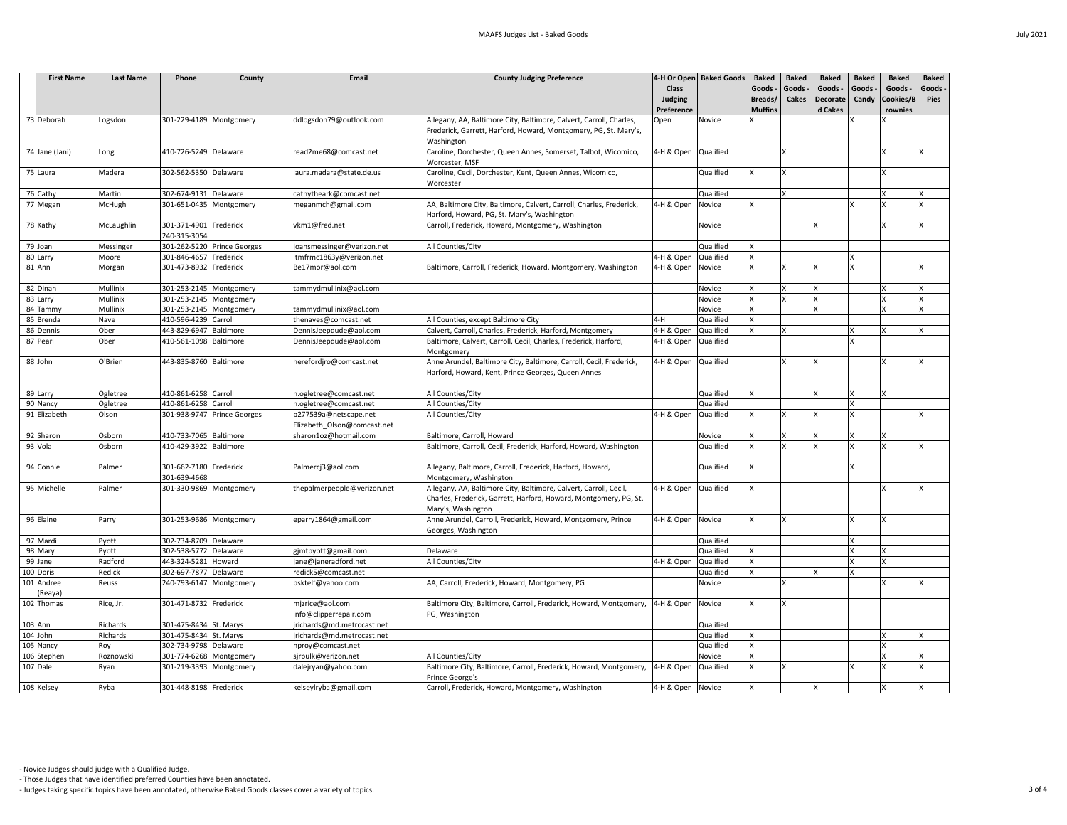| <b>First Name</b>     | <b>Last Name</b> | Phone                                            | County                      | <b>Email</b>                                     | <b>County Judging Preference</b>                                                                                                                             |                                | 4-H Or Open Baked Goods | <b>Baked</b>       | <b>Baked</b>            | <b>Baked</b>               | <b>Baked</b><br>Goods - | <b>Baked</b><br>Goods - | <b>Baked</b><br>Goods - |
|-----------------------|------------------|--------------------------------------------------|-----------------------------|--------------------------------------------------|--------------------------------------------------------------------------------------------------------------------------------------------------------------|--------------------------------|-------------------------|--------------------|-------------------------|----------------------------|-------------------------|-------------------------|-------------------------|
|                       |                  |                                                  |                             |                                                  |                                                                                                                                                              | <b>Class</b><br><b>Judging</b> |                         | Goods -<br>Breads/ | Goods -<br><b>Cakes</b> | Goods -<br><b>Decorate</b> | Candy                   | Cookies/B               | <b>Pies</b>             |
|                       |                  |                                                  |                             |                                                  |                                                                                                                                                              | Preference                     |                         | <b>Muffins</b>     |                         | d Cakes                    |                         | rownies                 |                         |
| 73 Deborah            | Logsdon          | 301-229-4189 Montgomery                          |                             | ddlogsdon79@outlook.com                          | Allegany, AA, Baltimore City, Baltimore, Calvert, Carroll, Charles,                                                                                          | Open                           | Novice                  |                    |                         |                            |                         |                         |                         |
|                       |                  |                                                  |                             |                                                  | Frederick, Garrett, Harford, Howard, Montgomery, PG, St. Mary's,                                                                                             |                                |                         |                    |                         |                            |                         |                         |                         |
|                       |                  |                                                  |                             |                                                  | Washington                                                                                                                                                   |                                |                         |                    |                         |                            |                         |                         |                         |
| 74 Jane (Jani)        | Long             | 410-726-5249 Delaware                            |                             | read2me68@comcast.net                            | Caroline, Dorchester, Queen Annes, Somerset, Talbot, Wicomico,<br>Worcester, MSF                                                                             | 4-H & Open                     | Qualified               |                    |                         |                            |                         |                         |                         |
| 75 Laura              | Madera           | 302-562-5350 Delaware                            |                             | laura.madara@state.de.us                         | Caroline, Cecil, Dorchester, Kent, Queen Annes, Wicomico,<br>Worcester                                                                                       |                                | Qualified               |                    |                         |                            |                         |                         |                         |
| 76 Cathy              | Martin           | 302-674-9131 Delaware                            |                             | cathytheark@comcast.net                          |                                                                                                                                                              |                                | Qualified               |                    | Ιv                      |                            |                         |                         |                         |
| 77 Megan              | McHugh           | 301-651-0435 Montgomery                          |                             | meganmch@gmail.com                               | AA, Baltimore City, Baltimore, Calvert, Carroll, Charles, Frederick,<br>Harford, Howard, PG, St. Mary's, Washington                                          | 4-H & Open                     | Novice                  |                    |                         |                            |                         |                         |                         |
| 78 Kathy              | McLaughlin       | 301-371-4901 Frederick<br>240-315-3054           |                             | vkm1@fred.net                                    | Carroll, Frederick, Howard, Montgomery, Washington                                                                                                           |                                | Novice                  |                    |                         |                            |                         |                         |                         |
| 79 Joan               | Messinger        |                                                  | 301-262-5220 Prince Georges | joansmessinger@verizon.net                       | All Counties/City                                                                                                                                            |                                | Qualified               |                    |                         |                            |                         |                         |                         |
| 80 Larry              | Moore            | 301-846-4657 Frederick                           |                             | ltmfrmc1863y@verizon.net                         |                                                                                                                                                              | 4-H & Open                     | Qualified               |                    |                         |                            |                         |                         |                         |
| $81$ Ann              | Morgan           | 301-473-8932 Frederick                           |                             | Be17mor@aol.com                                  | Baltimore, Carroll, Frederick, Howard, Montgomery, Washington                                                                                                | 4-H & Open                     | Novice                  |                    |                         |                            |                         |                         |                         |
| 82 Dinah              | <b>Mullinix</b>  | 301-253-2145 Montgomery                          |                             | tammydmullinix@aol.com                           |                                                                                                                                                              |                                | Novice                  |                    |                         |                            |                         |                         |                         |
| 83 Larry              | Mullinix         | 301-253-2145 Montgomery                          |                             |                                                  |                                                                                                                                                              |                                | Novice                  |                    |                         |                            |                         |                         |                         |
| 84 Tammy              | Mullinix         | 301-253-2145 Montgomery                          |                             | tammydmullinix@aol.com                           |                                                                                                                                                              |                                | Novice                  |                    |                         |                            |                         |                         |                         |
| 85 Brenda             | Nave             | 410-596-4239 Carroll                             |                             | thenaves@comcast.net                             | All Counties, except Baltimore City                                                                                                                          | $4-H$                          | Qualified               |                    |                         |                            |                         |                         |                         |
| 86 Dennis<br>87 Pearl | Ober<br>Ober     | 443-829-6947 Baltimore<br>410-561-1098 Baltimore |                             | DennisJeepdude@aol.com<br>DennisJeepdude@aol.com | Calvert, Carroll, Charles, Frederick, Harford, Montgomery<br>Baltimore, Calvert, Carroll, Cecil, Charles, Frederick, Harford,                                | 4-H & Open<br>4-H & Open       | Qualified<br>Qualified  |                    |                         |                            |                         |                         |                         |
|                       |                  |                                                  |                             |                                                  | Montgomery                                                                                                                                                   |                                |                         |                    |                         |                            |                         |                         |                         |
| 88 John               | O'Brien          | 443-835-8760 Baltimore                           |                             | herefordjro@comcast.net                          | Anne Arundel, Baltimore City, Baltimore, Carroll, Cecil, Frederick,<br>Harford, Howard, Kent, Prince Georges, Queen Annes                                    | 4-H & Open                     | Qualified               |                    |                         |                            |                         |                         |                         |
| 89 Larry              | Ogletree         | 410-861-6258 Carroll                             |                             | n.ogletree@comcast.net                           | All Counties/City                                                                                                                                            |                                | Qualified               |                    |                         |                            |                         | X                       |                         |
| 90 Nancy              | Ogletree         | 410-861-6258 Carroll                             |                             | n.ogletree@comcast.net                           | All Counties/City                                                                                                                                            |                                | Qualified               |                    |                         |                            |                         |                         |                         |
| 91 Elizabeth          | Olson            |                                                  | 301-938-9747 Prince Georges | p277539a@netscape.net                            | All Counties/City                                                                                                                                            | 4-H & Open                     | Qualified               |                    |                         |                            |                         |                         |                         |
|                       |                  |                                                  |                             | Elizabeth Olson@comcast.net                      |                                                                                                                                                              |                                |                         |                    |                         |                            |                         |                         |                         |
| 92 Sharon             | Osborn           | 410-733-7065 Baltimore                           |                             | sharon1oz@hotmail.com                            | Baltimore, Carroll, Howard                                                                                                                                   |                                | Novice                  |                    | <b>X</b>                |                            | <b>Y</b>                |                         |                         |
| 93 Vola               | Osborn           | 410-429-3922 Baltimore                           |                             |                                                  | Baltimore, Carroll, Cecil, Frederick, Harford, Howard, Washington                                                                                            |                                | Qualified               |                    |                         |                            |                         |                         |                         |
| 94 Connie             | Palmer           | 301-662-7180 Frederick<br>301-639-4668           |                             | Palmercj3@aol.com                                | Allegany, Baltimore, Carroll, Frederick, Harford, Howard,<br>Montgomery, Washington                                                                          |                                | Qualified               |                    |                         |                            |                         |                         |                         |
| 95 Michelle           | Palmer           | 301-330-9869 Montgomery                          |                             | thepalmerpeople@verizon.net                      | Allegany, AA, Baltimore City, Baltimore, Calvert, Carroll, Cecil,<br>Charles, Frederick, Garrett, Harford, Howard, Montgomery, PG, St.<br>Mary's, Washington | 4-H & Open                     | Qualified               |                    |                         |                            |                         |                         |                         |
| 96 Elaine             | Parry            | 301-253-9686 Montgomery                          |                             | eparry1864@gmail.com                             | Anne Arundel, Carroll, Frederick, Howard, Montgomery, Prince<br>Georges, Washington                                                                          | 4-H & Open                     | Novice                  |                    |                         |                            |                         |                         |                         |
| 97 Mardi              | Pyott            | 302-734-8709 Delaware                            |                             |                                                  |                                                                                                                                                              |                                | Qualified               |                    |                         |                            |                         |                         |                         |
| 98 Mary               | Pyott            | 302-538-5772 Delaware                            |                             | gjmtpyott@gmail.com                              | Delaware                                                                                                                                                     |                                | Qualified               |                    |                         |                            |                         |                         |                         |
| 99 Jane               | Radford          | 443-324-5281 Howard                              |                             | jane@janeradford.net                             | All Counties/City                                                                                                                                            | 4-H & Open                     | Qualified               |                    |                         |                            |                         |                         |                         |
| 100 Doris             | Redick           | 302-697-7877                                     | Delaware                    | redick5@comcast.net                              |                                                                                                                                                              |                                | Qualified               |                    |                         |                            |                         |                         |                         |
| 101 Andree<br>(Reaya) | Reuss            | 240-793-6147 Montgomery                          |                             | bsktelf@yahoo.com                                | AA, Carroll, Frederick, Howard, Montgomery, PG                                                                                                               |                                | Novice                  |                    |                         |                            |                         |                         |                         |
| 102 Thomas            | Rice, Jr.        | 301-471-8732 Frederick                           |                             | mjzrice@aol.com<br>info@clipperrepair.com        | Baltimore City, Baltimore, Carroll, Frederick, Howard, Montgomery,<br>PG, Washington                                                                         | 4-H & Open                     | Novice                  |                    | Iχ                      |                            |                         |                         |                         |
| $103$ Ann             | Richards         | 301-475-8434 St. Marys                           |                             | jrichards@md.metrocast.net                       |                                                                                                                                                              |                                | Qualified               |                    |                         |                            |                         |                         |                         |
| 104 John              | Richards         | 301-475-8434 St. Marys                           |                             | jrichards@md.metrocast.net                       |                                                                                                                                                              |                                | Qualified               |                    |                         |                            |                         |                         |                         |
| 105 Nancy             | Roy              | 302-734-9798 Delaware                            |                             | nproy@comcast.net                                |                                                                                                                                                              |                                | Qualified               |                    |                         |                            |                         |                         |                         |
| 106 Stephen           | Roznowski        | 301-774-6268 Montgomery                          |                             | sjrbulk@verizon.net                              | All Counties/City                                                                                                                                            |                                | Novice                  |                    |                         |                            |                         |                         |                         |
| 107 Dale              | Ryan             | 301-219-3393 Montgomery                          |                             | dalejryan@yahoo.com                              | Baltimore City, Baltimore, Carroll, Frederick, Howard, Montgomery,<br>Prince George's                                                                        | 4-H & Open                     | Qualified               |                    |                         |                            |                         |                         |                         |
| 108 Kelsey            | Ryba             | 301-448-8198 Frederick                           |                             | kelseylryba@gmail.com                            | Carroll, Frederick, Howard, Montgomery, Washington                                                                                                           | 4-H & Open Novice              |                         |                    |                         |                            |                         |                         |                         |

- Those Judges that have identified preferred Counties have been annotated.

- Judges taking specific topics have been annotated, otherwise Baked Goods classes cover a variety of topics. 3 of 4